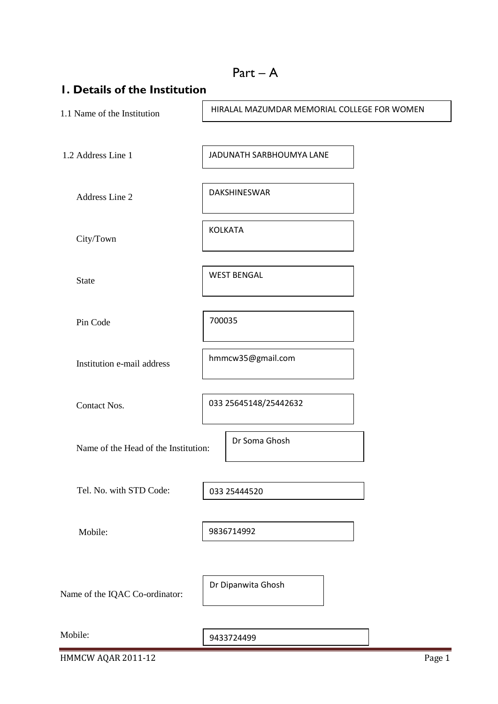| I. Details of the Institution        |                                             |
|--------------------------------------|---------------------------------------------|
| 1.1 Name of the Institution          | HIRALAL MAZUMDAR MEMORIAL COLLEGE FOR WOMEN |
| 1.2 Address Line 1                   | JADUNATH SARBHOUMYA LANE                    |
| Address Line 2                       | DAKSHINESWAR                                |
| City/Town                            | <b>KOLKATA</b>                              |
| State                                | <b>WEST BENGAL</b>                          |
| Pin Code                             | 700035                                      |
| Institution e-mail address           | hmmcw35@gmail.com                           |
| Contact Nos.                         | 033 25645148/25442632                       |
| Name of the Head of the Institution: | Dr Soma Ghosh                               |
| Tel. No. with STD Code:              | 033 25444520                                |
| Mobile:                              | 9836714992                                  |
| Name of the IQAC Co-ordinator:       | Dr Dipanwita Ghosh                          |
| Mobile:                              | 9433724499                                  |

HMMCW AQAR 2011-12 Page 1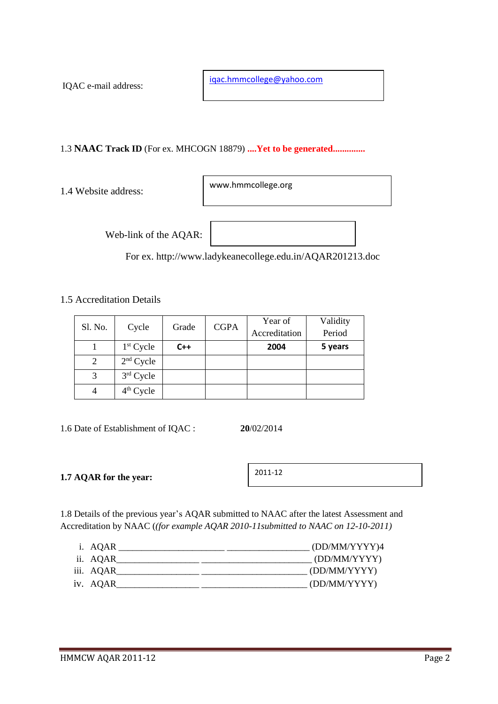IQAC e-mail address:

[iqac.hmmcollege@yahoo.com](mailto:iqac.hmmcollege@yahoo.com)

1.3 **NAAC Track ID** (For ex. MHCOGN 18879) **....Yet to be generated..............**

1.4 Website address:

www.hmmcollege.org

Web-link of the AQAR:

For ex. http://www.ladykeanecollege.edu.in/AQAR201213.doc

1.5 Accreditation Details

| Sl. No. | Cycle       | Grade | <b>CGPA</b> | Year of       | Validity |
|---------|-------------|-------|-------------|---------------|----------|
|         |             |       |             | Accreditation | Period   |
|         | $1st$ Cycle | $C++$ |             | 2004          | 5 years  |
|         | $2nd$ Cycle |       |             |               |          |
|         | $3rd$ Cycle |       |             |               |          |
|         | $4th$ Cycle |       |             |               |          |

1.6 Date of Establishment of IQAC : **20**/02/2014

**1.7 AQAR for the year:**

2011-12

1.8 Details of the previous year's AQAR submitted to NAAC after the latest Assessment and Accreditation by NAAC (*(for example AQAR 2010-11submitted to NAAC on 12-10-2011)*

| i. AQAR   | (DD/MM/YYYY)4 |
|-----------|---------------|
| ii. AQAR  | (DD/MM/YYYY)  |
| iii. AQAR | (DD/MM/YYYY)  |
| iv. AQAR  | (DD/MM/YYYY)  |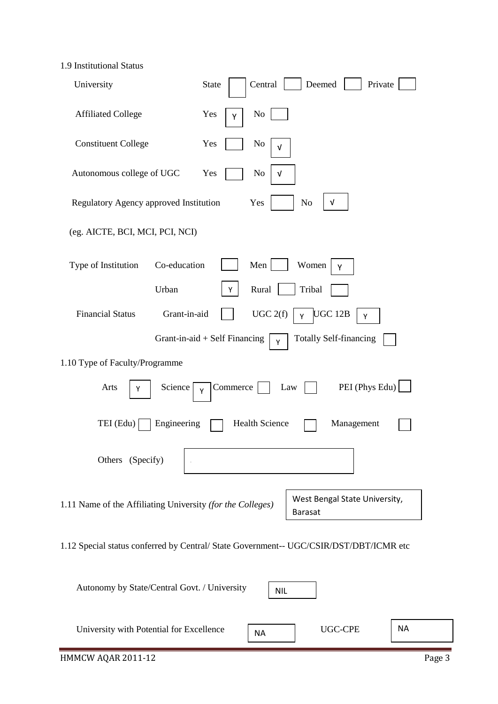1.9 Institutional Status

| University                                                 | Deemed<br>Central<br>Private<br>State                                                  |
|------------------------------------------------------------|----------------------------------------------------------------------------------------|
| <b>Affiliated College</b>                                  | N <sub>0</sub><br>Yes<br>Y                                                             |
| <b>Constituent College</b>                                 | Yes<br>N <sub>0</sub><br>v                                                             |
| Autonomous college of UGC                                  | Yes<br>No<br>V                                                                         |
| Regulatory Agency approved Institution                     | No<br>V<br>Yes                                                                         |
| (eg. AICTE, BCI, MCI, PCI, NCI)                            |                                                                                        |
| Type of Institution<br>Co-education                        | Men<br>Women<br>Υ                                                                      |
| Urban                                                      | Rural<br>Tribal<br>Y                                                                   |
| <b>Financial Status</b><br>Grant-in-aid                    | UGC 2(f)<br>UGC 12B<br>Y<br>Y                                                          |
|                                                            | Grant-in-aid $+$ Self Financing<br><b>Totally Self-financing</b><br>Y                  |
| 1.10 Type of Faculty/Programme                             |                                                                                        |
| Arts<br>Science<br>Y                                       | PEI (Phys Edu)<br>Commerce<br>Law<br>Υ                                                 |
| Engineering<br>TEI (Edu)                                   | <b>Health Science</b><br>Management                                                    |
| Others (Specify)                                           |                                                                                        |
| 1.11 Name of the Affiliating University (for the Colleges) | West Bengal State University,<br><b>Barasat</b>                                        |
|                                                            | 1.12 Special status conferred by Central/ State Government-- UGC/CSIR/DST/DBT/ICMR etc |

| Autonomy by State/Central Govt. / University | <b>NIL</b> |                |    |
|----------------------------------------------|------------|----------------|----|
| University with Potential for Excellence     | <b>NA</b>  | <b>UGC-CPE</b> | ΝA |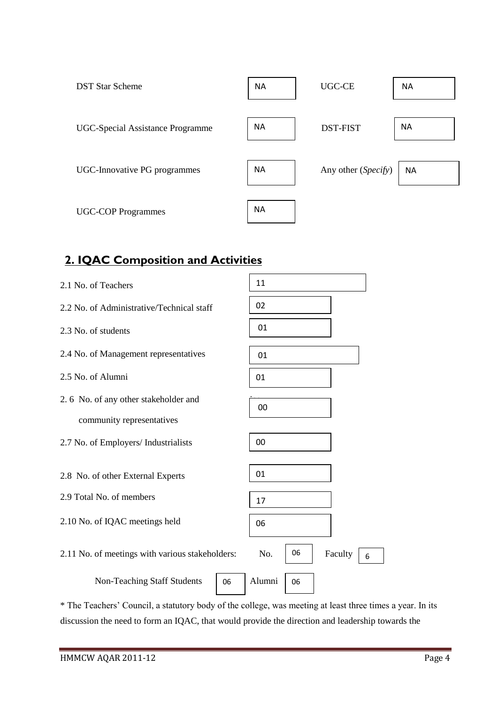| <b>DST Star Scheme</b>           | <b>NA</b> | UGC-CE              | <b>NA</b> |
|----------------------------------|-----------|---------------------|-----------|
| UGC-Special Assistance Programme | <b>NA</b> | <b>DST-FIST</b>     | <b>NA</b> |
| UGC-Innovative PG programmes     | <b>NA</b> | Any other (Specify) | <b>NA</b> |
| <b>UGC-COP Programmes</b>        | <b>NA</b> |                     |           |

# **2. IQAC Composition and Activities**

| 2.1 No. of Teachers                             | 11                        |
|-------------------------------------------------|---------------------------|
| 2.2 No. of Administrative/Technical staff       | 02                        |
| 2.3 No. of students                             | 01                        |
| 2.4 No. of Management representatives           | 01                        |
| 2.5 No. of Alumni                               | 01                        |
| 2.6 No. of any other stakeholder and            | 00                        |
| community representatives                       |                           |
| 2.7 No. of Employers/ Industrialists            | 00                        |
| 2.8 No. of other External Experts               | 01                        |
| 2.9 Total No. of members                        | 17                        |
| 2.10 No. of IQAC meetings held                  | 06                        |
| 2.11 No. of meetings with various stakeholders: | No.<br>06<br>Faculty<br>6 |
| <b>Non-Teaching Staff Students</b><br>06        | Alumni<br>06              |
|                                                 |                           |

\* The Teachers' Council, a statutory body of the college, was meeting at least three times a year. In its discussion the need to form an IQAC, that would provide the direction and leadership towards the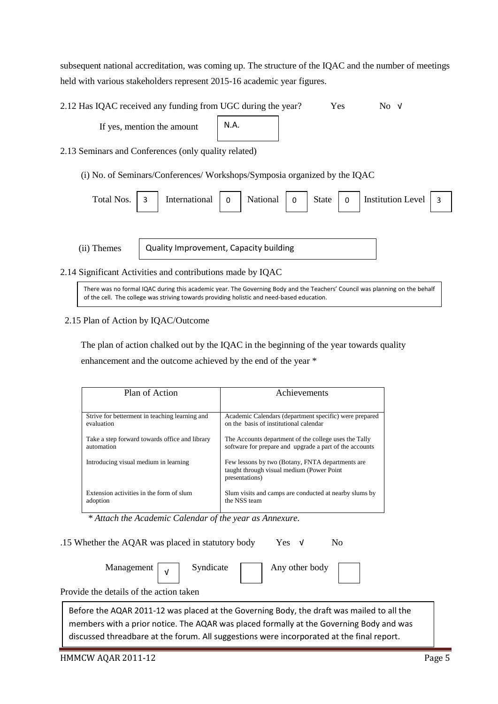subsequent national accreditation, was coming up. The structure of the IQAC and the number of meetings held with various stakeholders represent 2015-16 academic year figures.

|                   | 2.12 Has IQAC received any funding from UGC during the year?              |          |                              | Yes.     | No $V$                   |   |
|-------------------|---------------------------------------------------------------------------|----------|------------------------------|----------|--------------------------|---|
|                   | If yes, mention the amount                                                | N.A.     |                              |          |                          |   |
|                   | 2.13 Seminars and Conferences (only quality related)                      |          |                              |          |                          |   |
|                   | (i) No. of Seminars/Conferences/ Workshops/Symposia organized by the IQAC |          |                              |          |                          |   |
| <b>Total Nos.</b> | International<br>3                                                        | National | <b>State</b><br>$\mathbf{0}$ | $\Omega$ | <b>Institution Level</b> | 3 |
|                   |                                                                           |          |                              |          |                          |   |
| (ii) Themes       | Quality Improvement, Capacity building                                    |          |                              |          |                          |   |
|                   | 2.14 Significant Activities and contributions made by IQAC                |          |                              |          |                          |   |

There was no formal IQAC during this academic year. The Governing Body and the Teachers' Council was planning on the behalf of the cell. The college was striving towards providing holistic and need-based education.

### 2.15 Plan of Action by IQAC/Outcome

 The plan of action chalked out by the IQAC in the beginning of the year towards quality enhancement and the outcome achieved by the end of the year \*

| Plan of Action                                 | Achievements                                                                                                    |
|------------------------------------------------|-----------------------------------------------------------------------------------------------------------------|
| Strive for betterment in teaching learning and | Academic Calendars (department specific) were prepared                                                          |
| evaluation                                     | on the basis of institutional calendar                                                                          |
| Take a step forward towards office and library | The Accounts department of the college uses the Tally                                                           |
| automation                                     | software for prepare and upgrade a part of the accounts                                                         |
| Introducing visual medium in learning          | Few lessons by two (Botany, FNTA departments are<br>taught through visual medium (Power Point<br>presentations) |
| Extension activities in the form of slum       | Slum visits and camps are conducted at nearby slums by                                                          |
| adoption                                       | the NSS team                                                                                                    |

 *\* Attach the Academic Calendar of the year as Annexure.*

| .15 Whether the AQAR was placed in statutory body | Yes $V$ | N <sub>0</sub> |
|---------------------------------------------------|---------|----------------|
|                                                   |         |                |

| Management | Syndicate | Any other body |  |
|------------|-----------|----------------|--|
|            |           |                |  |

Provide the details of the action taken

Before the AQAR 2011-12 was placed at the Governing Body, the draft was mailed to all the members with a prior notice. The AQAR was placed formally at the Governing Body and was discussed threadbare at the forum. All suggestions were incorporated at the final report.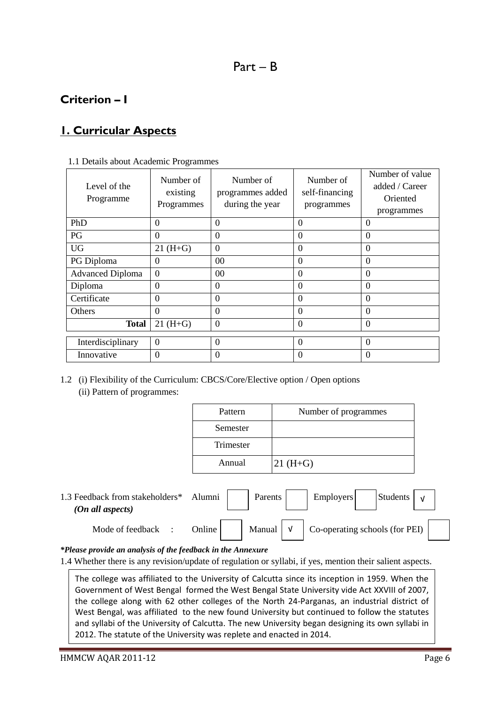# Part – B

# **Criterion – I**

# **1. Curricular Aspects**

| Level of the<br>Programme | Number of<br>existing<br>Programmes | Number of<br>programmes added<br>during the year | Number of<br>self-financing<br>programmes | Number of value<br>added / Career<br>Oriented<br>programmes |
|---------------------------|-------------------------------------|--------------------------------------------------|-------------------------------------------|-------------------------------------------------------------|
| PhD                       | $\theta$                            | $\Omega$                                         | $\Omega$                                  | $\theta$                                                    |
| PG                        | $\theta$                            | $\overline{0}$                                   | $\Omega$                                  | $\theta$                                                    |
| <b>UG</b>                 | $21(H+G)$                           | $\overline{0}$                                   | $\Omega$                                  | $\theta$                                                    |
| PG Diploma                | $\boldsymbol{0}$                    | 00                                               | $\Omega$                                  | $\theta$                                                    |
| <b>Advanced Diploma</b>   | $\overline{0}$                      | 00                                               | $\Omega$                                  | $\theta$                                                    |
| Diploma                   | $\overline{0}$                      | $\Omega$                                         | $\Omega$                                  | $\theta$                                                    |
| Certificate               | $\overline{0}$                      | $\overline{0}$                                   | $\Omega$                                  | $\theta$                                                    |
| Others                    | $\theta$                            | $\overline{0}$                                   | $\Omega$                                  | $\theta$                                                    |
| <b>Total</b>              | $21(H+G)$                           | $\overline{0}$                                   | $\Omega$                                  | $\theta$                                                    |
| Interdisciplinary         | $\Omega$                            | $\overline{0}$                                   | $\Omega$                                  | $\Omega$                                                    |
| Innovative                | $\theta$                            | $\overline{0}$                                   | $\Omega$                                  | $\Omega$                                                    |

#### 1.1 Details about Academic Programmes

1.2 (i) Flexibility of the Curriculum: CBCS/Core/Elective option / Open options (ii) Pattern of programmes:

| Pattern   | Number of programmes |
|-----------|----------------------|
| Semester  |                      |
| Trimester |                      |
| Annual    | $21 (H + G)$         |

1.3 Feedback from stakeholders\* Alumni | | Parents | | Employers | | Students  *(On all aspects)* Mode of feedback : Online  $\vert$  Manual  $\vert \vee \vert$  Co-operating schools (for PEI) √ √

#### *\*Please provide an analysis of the feedback in the Annexure*

1.4 Whether there is any revision/update of regulation or syllabi, if yes, mention their salient aspects.

The college was affiliated to the University of Calcutta since its inception in 1959. When the Government of West Bengal formed the West Bengal State University vide Act XXVIII of 2007, the college along with 62 other colleges of the North 24-Parganas, an industrial district of West Bengal, was affiliated to the new found University but continued to follow the statutes and syllabi of the University of Calcutta. The new University began designing its own syllabi in 2012. The statute of the University was replete and enacted in 2014.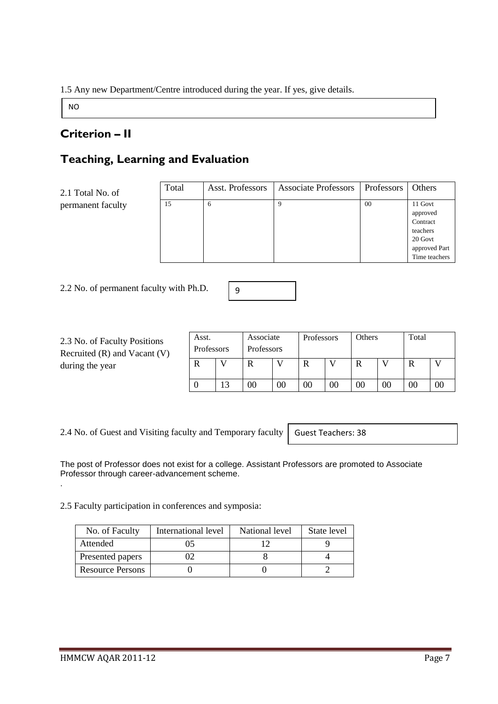1.5 Any new Department/Centre introduced during the year. If yes, give details.

NO

# **Criterion – II**

# **Teaching, Learning and Evaluation**

2.1 Total No. of permanent faculty

| Total | Asst. Professors | <b>Associate Professors</b> | Professors | <b>Others</b>                                                                            |
|-------|------------------|-----------------------------|------------|------------------------------------------------------------------------------------------|
| 15    | 6                | Q                           | 00         | 11 Govt<br>approved<br>Contract<br>teachers<br>20 Govt<br>approved Part<br>Time teachers |

2.2 No. of permanent faculty with Ph.D.

| 2.3 No. of Faculty Positions     |
|----------------------------------|
| Recruited $(R)$ and Vacant $(V)$ |
| during the year                  |

| Asst.<br>Professors |           | Associate<br>Professors |    | Professors | Others |        | Total |  |
|---------------------|-----------|-------------------------|----|------------|--------|--------|-------|--|
| R                   |           |                         |    |            |        |        |       |  |
|                     | $\bigcap$ |                         | 00 | $00\,$     |        | $00\,$ |       |  |

2.4 No. of Guest and Visiting faculty and Temporary faculty

Guest Teachers: 38

The post of Professor does not exist for a college. Assistant Professors are promoted to Associate Professor through career-advancement scheme. .

9

2.5 Faculty participation in conferences and symposia:

| No. of Faculty          | International level | National level | State level |
|-------------------------|---------------------|----------------|-------------|
| Attended                |                     |                |             |
| Presented papers        |                     |                |             |
| <b>Resource Persons</b> |                     |                |             |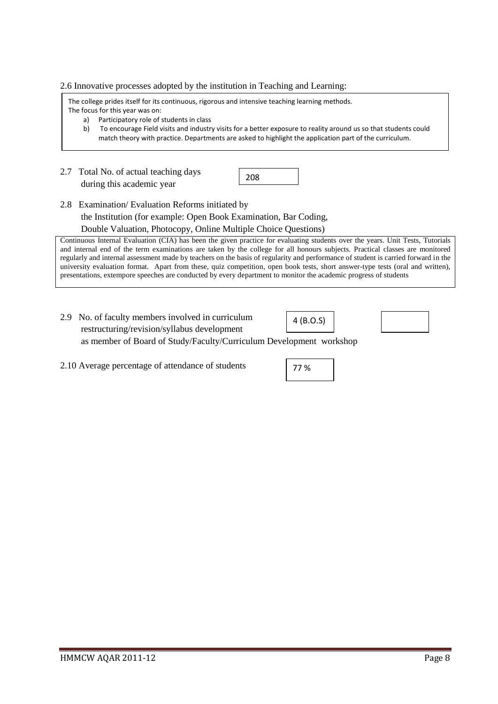2.6 Innovative processes adopted by the institution in Teaching and Learning:

The college prides itself for its continuous, rigorous and intensive teaching learning methods. The focus for this year was on:

- a) Participatory role of students in class
- b) To encourage Field visits and industry visits for a better exposure to reality around us so that students could match theory with practice. Departments are asked to highlight the application part of the curriculum.
- 2.7 Total No. of actual teaching days during this academic year

|  | 208 |  |
|--|-----|--|
|--|-----|--|

2.8 Examination/ Evaluation Reforms initiated by the Institution (for example: Open Book Examination, Bar Coding, Double Valuation, Photocopy, Online Multiple Choice Questions)

Continuous Internal Evaluation (CIA) has been the given practice for evaluating students over the years. Unit Tests, Tutorials and internal end of the term examinations are taken by the college for all honours subjects. Practical classes are monitored regularly and internal assessment made by teachers on the basis of regularity and performance of student is carried forward in the university evaluation format. Apart from these, quiz competition, open book tests, short answer-type tests (oral and written), presentations, extempore speeches are conducted by every department to monitor the academic progress of students

- 2.9 No. of faculty members involved in curriculum restructuring/revision/syllabus development as member of Board of Study/Faculty/Curriculum Development workshop 4 (B.O.S) S
- 2.10 Average percentage of attendance of students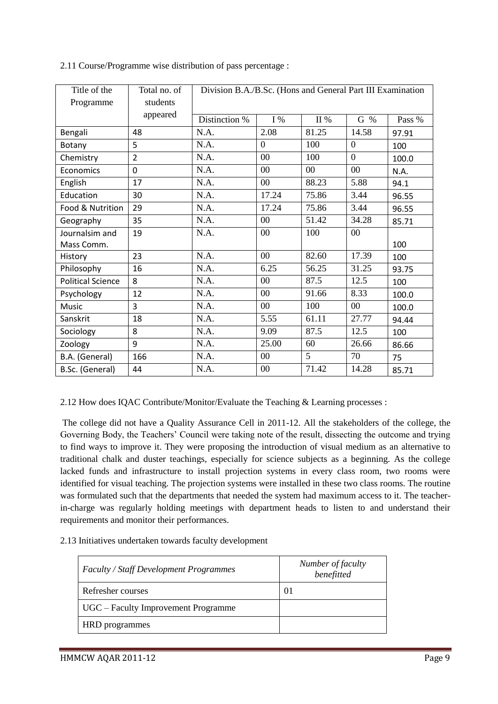| Title of the             | Total no. of   | Division B.A./B.Sc. (Hons and General Part III Examination |          |            |                |        |
|--------------------------|----------------|------------------------------------------------------------|----------|------------|----------------|--------|
| Programme                | students       |                                                            |          |            |                |        |
|                          | appeared       | Distinction %                                              | I%       | $\rm II$ % | G %            | Pass % |
| Bengali                  | 48             | N.A.                                                       | 2.08     | 81.25      | 14.58          | 97.91  |
| Botany                   | 5              | N.A.                                                       | $\theta$ | 100        | $\overline{0}$ | 100    |
| Chemistry                | $\overline{2}$ | N.A.                                                       | 00       | 100        | $\overline{0}$ | 100.0  |
| Economics                | $\mathbf 0$    | N.A.                                                       | $00\,$   | $00\,$     | $00\,$         | N.A.   |
| English                  | 17             | N.A.                                                       | $00\,$   | 88.23      | 5.88           | 94.1   |
| Education                | 30             | N.A.                                                       | 17.24    | 75.86      | 3.44           | 96.55  |
| Food & Nutrition         | 29             | N.A.                                                       | 17.24    | 75.86      | 3.44           | 96.55  |
| Geography                | 35             | N.A.                                                       | $00\,$   | 51.42      | 34.28          | 85.71  |
| Journalsim and           | 19             | N.A.                                                       | $00\,$   | 100        | 00             |        |
| Mass Comm.               |                |                                                            |          |            |                | 100    |
| History                  | 23             | N.A.                                                       | $00\,$   | 82.60      | 17.39          | 100    |
| Philosophy               | 16             | N.A.                                                       | 6.25     | 56.25      | 31.25          | 93.75  |
| <b>Political Science</b> | 8              | N.A.                                                       | $00\,$   | 87.5       | 12.5           | 100    |
| Psychology               | 12             | N.A.                                                       | $00\,$   | 91.66      | 8.33           | 100.0  |
| Music                    | $\overline{3}$ | N.A.                                                       | $00\,$   | 100        | $00\,$         | 100.0  |
| Sanskrit                 | 18             | N.A.                                                       | 5.55     | 61.11      | 27.77          | 94.44  |
| Sociology                | 8              | N.A.                                                       | 9.09     | 87.5       | 12.5           | 100    |
| Zoology                  | 9              | N.A.                                                       | 25.00    | 60         | 26.66          | 86.66  |
| B.A. (General)           | 166            | N.A.                                                       | $00\,$   | 5          | 70             | 75     |
| B.Sc. (General)          | 44             | N.A.                                                       | 00       | 71.42      | 14.28          | 85.71  |

2.11 Course/Programme wise distribution of pass percentage :

## 2.12 How does IQAC Contribute/Monitor/Evaluate the Teaching & Learning processes :

The college did not have a Quality Assurance Cell in 2011-12. All the stakeholders of the college, the Governing Body, the Teachers' Council were taking note of the result, dissecting the outcome and trying to find ways to improve it. They were proposing the introduction of visual medium as an alternative to traditional chalk and duster teachings, especially for science subjects as a beginning. As the college lacked funds and infrastructure to install projection systems in every class room, two rooms were identified for visual teaching. The projection systems were installed in these two class rooms. The routine was formulated such that the departments that needed the system had maximum access to it. The teacherin-charge was regularly holding meetings with department heads to listen to and understand their requirements and monitor their performances.

## 2.13 Initiatives undertaken towards faculty development

| <b>Faculty / Staff Development Programmes</b> | Number of faculty<br>benefitted |
|-----------------------------------------------|---------------------------------|
| Refresher courses                             | $_{01}$                         |
| UGC – Faculty Improvement Programme           |                                 |
| HRD programmes                                |                                 |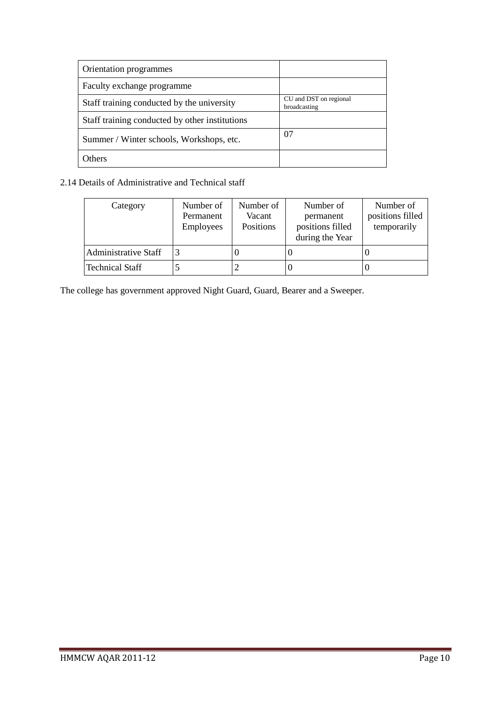| Orientation programmes                         |                                        |
|------------------------------------------------|----------------------------------------|
| Faculty exchange programme                     |                                        |
| Staff training conducted by the university     | CU and DST on regional<br>broadcasting |
| Staff training conducted by other institutions |                                        |
| Summer / Winter schools, Workshops, etc.       | 07                                     |
| Others                                         |                                        |

## 2.14 Details of Administrative and Technical staff

| Category                    | Number of<br>Permanent<br><b>Employees</b> | Number of<br>Vacant<br>Positions | Number of<br>permanent<br>positions filled<br>during the Year | Number of<br>positions filled<br>temporarily |
|-----------------------------|--------------------------------------------|----------------------------------|---------------------------------------------------------------|----------------------------------------------|
| <b>Administrative Staff</b> | 3                                          |                                  |                                                               |                                              |
| Technical Staff             |                                            |                                  |                                                               |                                              |

The college has government approved Night Guard, Guard, Bearer and a Sweeper.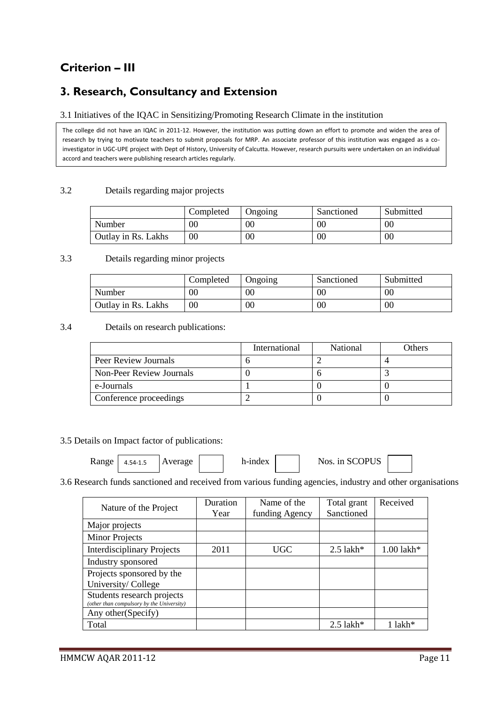# **Criterion – III**

# **3. Research, Consultancy and Extension**

#### 3.1 Initiatives of the IQAC in Sensitizing/Promoting Research Climate in the institution

The college did not have an IQAC in 2011-12. However, the institution was putting down an effort to promote and widen the area of research by trying to motivate teachers to submit proposals for MRP. An associate professor of this institution was engaged as a coinvestigator in UGC-UPE project with Dept of History, University of Calcutta. However, research pursuits were undertaken on an individual accord and teachers were publishing research articles regularly.

#### 3.2 Details regarding major projects

|                     | Completed | Ongoing | Sanctioned | Submitted |
|---------------------|-----------|---------|------------|-----------|
| Number              | $00\,$    | 00      | $00\,$     | 00        |
| Outlay in Rs. Lakhs | 00        | $00\,$  | $00\,$     | 00        |

#### 3.3 Details regarding minor projects

|                     | Completed | <b>J</b> ngoing | Sanctioned | Submitted |
|---------------------|-----------|-----------------|------------|-----------|
| Number              | UU        | 00              | $00\,$     | 00        |
| Outlay in Rs. Lakhs | $00\,$    | $00\,$          | $00\,$     | 00        |

### 3.4 Details on research publications:

|                          | International | National | Others |
|--------------------------|---------------|----------|--------|
| Peer Review Journals     |               |          |        |
| Non-Peer Review Journals |               |          |        |
| e-Journals               |               |          |        |
| Conference proceedings   |               |          |        |

#### 3.5 Details on Impact factor of publications:

|  | <b>Range</b>   $4.54 - 1.5$ | Average |  | h-index |  | NOS. |
|--|-----------------------------|---------|--|---------|--|------|
|--|-----------------------------|---------|--|---------|--|------|

in SCOPUS

3.6 Research funds sanctioned and received from various funding agencies, industry and other organisations

| Nature of the Project                     | Duration | Name of the    | Total grant             | Received     |
|-------------------------------------------|----------|----------------|-------------------------|--------------|
|                                           | Year     | funding Agency | Sanctioned              |              |
| Major projects                            |          |                |                         |              |
| <b>Minor Projects</b>                     |          |                |                         |              |
| <b>Interdisciplinary Projects</b>         | 2011     | UGC.           | $2.5$ lakh*             | $1.00$ lakh* |
| Industry sponsored                        |          |                |                         |              |
| Projects sponsored by the                 |          |                |                         |              |
| University/College                        |          |                |                         |              |
| Students research projects                |          |                |                         |              |
| (other than compulsory by the University) |          |                |                         |              |
| Any other (Specify)                       |          |                |                         |              |
| Total                                     |          |                | $2.5$ lakh <sup>*</sup> | 1 lakh*      |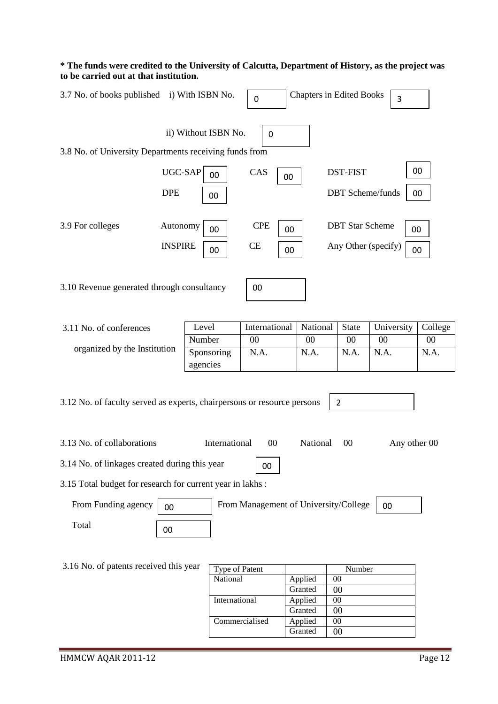#### **\* The funds were credited to the University of Calcutta, Department of History, as the project was to be carried out at that institution.**

| 3.7 No. of books published i) With ISBN No.                             |                |          |                      | 0                                     |                    | <b>Chapters in Edited Books</b> | 3            |         |
|-------------------------------------------------------------------------|----------------|----------|----------------------|---------------------------------------|--------------------|---------------------------------|--------------|---------|
|                                                                         |                |          | ii) Without ISBN No. | $\mathbf 0$                           |                    |                                 |              |         |
| 3.8 No. of University Departments receiving funds from                  |                |          |                      |                                       |                    |                                 |              |         |
|                                                                         |                |          |                      |                                       |                    |                                 |              |         |
|                                                                         | UGC-SAP        |          | 00                   | CAS<br>00                             |                    | <b>DST-FIST</b>                 |              | 00      |
|                                                                         | <b>DPE</b>     |          | 00                   |                                       |                    | <b>DBT</b> Scheme/funds         |              | 00      |
| 3.9 For colleges                                                        | Autonomy       |          | 00                   | <b>CPE</b>                            | 00                 | <b>DBT</b> Star Scheme          | 00           |         |
|                                                                         | <b>INSPIRE</b> |          | 00                   | <b>CE</b>                             | 00                 | Any Other (specify)             |              | 00      |
|                                                                         |                |          |                      |                                       |                    |                                 |              |         |
| 3.10 Revenue generated through consultancy                              |                |          |                      | 00                                    |                    |                                 |              |         |
|                                                                         |                |          |                      |                                       |                    |                                 |              |         |
| 3.11 No. of conferences                                                 |                | Level    |                      | International                         | National           | State                           | University   | College |
| organized by the Institution                                            |                | Number   |                      | 00                                    | $00\,$             | 00                              | 00           | 00      |
|                                                                         |                |          | Sponsoring           | N.A.                                  | N.A.               | N.A.                            | N.A.         | N.A.    |
|                                                                         |                | agencies |                      |                                       |                    |                                 |              |         |
|                                                                         |                |          |                      |                                       |                    |                                 |              |         |
| 3.12 No. of faculty served as experts, chairpersons or resource persons |                |          |                      |                                       |                    | $\overline{2}$                  |              |         |
|                                                                         |                |          |                      |                                       |                    |                                 |              |         |
|                                                                         |                |          |                      |                                       |                    |                                 |              |         |
| 3.13 No. of collaborations                                              |                |          | International        | $00\,$                                | National           | $00\,$                          | Any other 00 |         |
| 3.14 No. of linkages created during this year                           |                |          |                      | 00                                    |                    |                                 |              |         |
| 3.15 Total budget for research for current year in lakhs:               |                |          |                      |                                       |                    |                                 |              |         |
| From Funding agency                                                     | 00             |          |                      | From Management of University/College |                    |                                 | 00           |         |
| Total                                                                   | 00             |          |                      |                                       |                    |                                 |              |         |
|                                                                         |                |          |                      |                                       |                    |                                 |              |         |
|                                                                         |                |          |                      |                                       |                    |                                 |              |         |
| 3.16 No. of patents received this year                                  |                |          | Type of Patent       |                                       |                    | Number                          |              |         |
|                                                                         |                |          | National             |                                       | Applied<br>Granted | 00<br>00                        |              |         |
|                                                                         |                |          | International        |                                       | Applied            | 00                              |              |         |
|                                                                         |                |          |                      |                                       | Granted            | 00                              |              |         |
|                                                                         |                |          |                      | Commercialised                        | Applied            | 00 <sub>o</sub>                 |              |         |
|                                                                         |                |          |                      |                                       | Granted            | 00                              |              |         |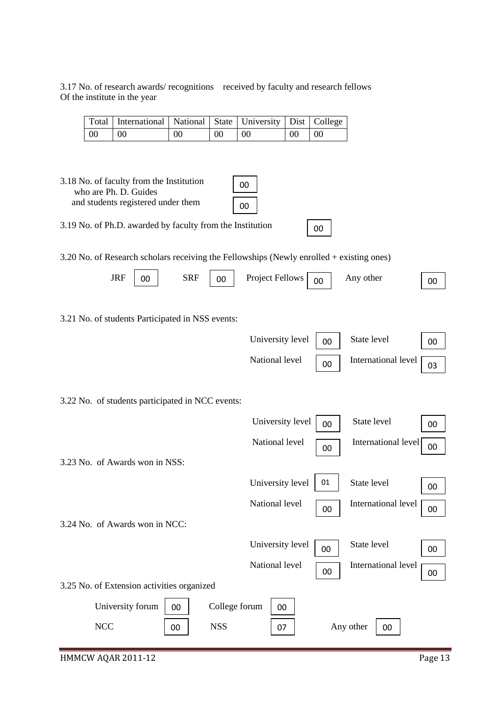3.17 No. of research awards/ recognitions received by faculty and research fellows Of the institute in the year

|    | Total   International   National   State   University   Dist   College |   |    |    |  |
|----|------------------------------------------------------------------------|---|----|----|--|
| 00 | 00                                                                     | Ж | 00 | 00 |  |
|    |                                                                        |   |    |    |  |
|    |                                                                        |   |    |    |  |
|    |                                                                        |   |    |    |  |
|    |                                                                        |   |    |    |  |
|    |                                                                        |   |    |    |  |

00

00

3.18 No. of faculty from the Institution who are Ph. D. Guides and students registered under them

3.19 No. of Ph.D. awarded by faculty from the Institution

3.20 No. of Research scholars receiving the Fellowships (Newly enrolled + existing ones)

| <b>JRF</b><br>00 | SRF $\begin{array}{ c c c c c } \hline \end{array}$ Project Fellows $\begin{array}{ c c c c c } \hline \end{array}$ Any other |  | $00\,$ |
|------------------|-------------------------------------------------------------------------------------------------------------------------------|--|--------|
|                  |                                                                                                                               |  |        |

3.21 No. of students Participated in NSS events:

| University level $\begin{vmatrix} 0 & \end{vmatrix}$ State level |                                                                                                                | 00 |  |
|------------------------------------------------------------------|----------------------------------------------------------------------------------------------------------------|----|--|
|                                                                  | National level $\begin{bmatrix} 0 & 0 \end{bmatrix}$ International level $\begin{bmatrix} 0 & 0 \end{bmatrix}$ |    |  |

00

3.22 No. of students participated in NCC events:

|                                            |    |               | University level | 00     | State level         | 00     |
|--------------------------------------------|----|---------------|------------------|--------|---------------------|--------|
|                                            |    |               | National level   | 00     | International level | $00\,$ |
| 3.23 No. of Awards won in NSS:             |    |               |                  |        |                     |        |
|                                            |    |               | University level | 01     | State level         | $00\,$ |
|                                            |    |               | National level   | 00     | International level | $00\,$ |
| 3.24 No. of Awards won in NCC:             |    |               |                  |        |                     |        |
|                                            |    |               | University level | $00\,$ | State level         | 00     |
|                                            |    |               | National level   | 00     | International level | $00\,$ |
| 3.25 No. of Extension activities organized |    |               |                  |        |                     |        |
| University forum                           | 00 | College forum | $00\,$           |        |                     |        |
| <b>NCC</b>                                 | 00 | <b>NSS</b>    | 07               |        | Any other<br>00     |        |
|                                            |    |               |                  |        |                     |        |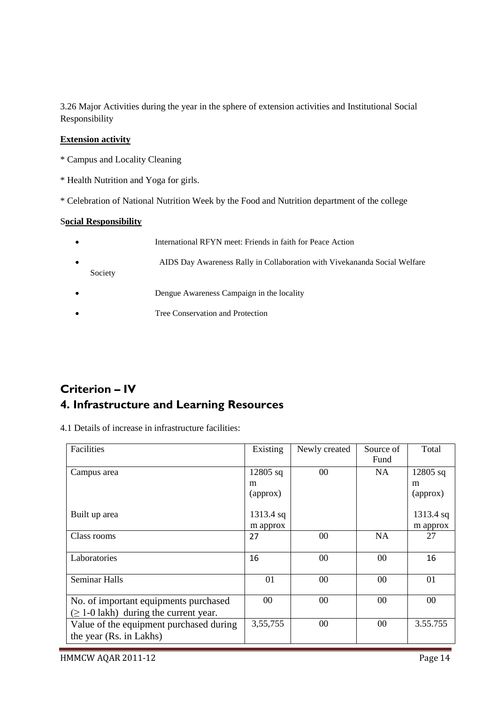3.26 Major Activities during the year in the sphere of extension activities and Institutional Social Responsibility

## **Extension activity**

- \* Campus and Locality Cleaning
- \* Health Nutrition and Yoga for girls.
- \* Celebration of National Nutrition Week by the Food and Nutrition department of the college

### S**ocial Responsibility**

- International RFYN meet: Friends in faith for Peace Action
- AIDS Day Awareness Rally in Collaboration with Vivekananda Social Welfare Society
- Dengue Awareness Campaign in the locality
- Tree Conservation and Protection

# **Criterion – IV 4. Infrastructure and Learning Resources**

4.1 Details of increase in infrastructure facilities:

| Facilities                                                                           | Existing                    | Newly created | Source of<br>Fund | Total                       |
|--------------------------------------------------------------------------------------|-----------------------------|---------------|-------------------|-----------------------------|
| Campus area                                                                          | $12805$ sq<br>m<br>(approx) | $00\,$        | <b>NA</b>         | $12805$ sq<br>m<br>(approx) |
| Built up area                                                                        | 1313.4 sq<br>m approx       |               |                   | 1313.4 sq<br>m approx       |
| Class rooms                                                                          | 27                          | 00            | <b>NA</b>         | 27                          |
| Laboratories                                                                         | 16                          | 00            | 0 <sup>0</sup>    | 16                          |
| <b>Seminar Halls</b>                                                                 | 01                          | 00            | $00\,$            | 01                          |
| No. of important equipments purchased<br>$(\geq 1$ -0 lakh) during the current year. | 00 <sup>2</sup>             | 00            | $00\,$            | 00                          |
| Value of the equipment purchased during<br>the year (Rs. in Lakhs)                   | 3,55,755                    | 00            | $00\,$            | 3.55.755                    |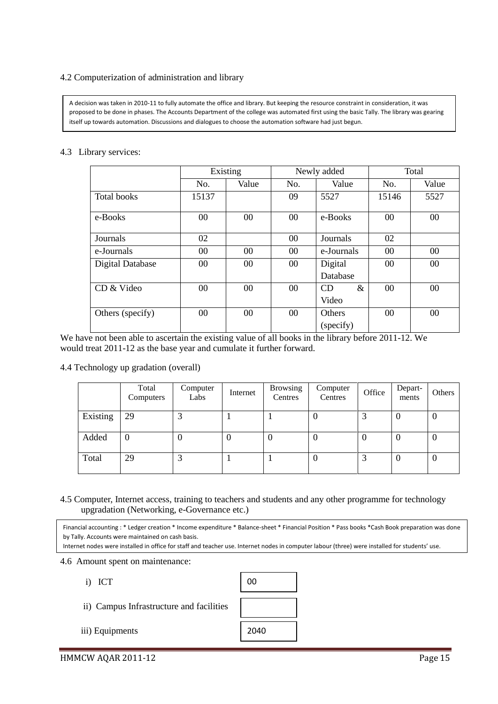#### 4.2 Computerization of administration and library

A decision was taken in 2010-11 to fully automate the office and library. But keeping the resource constraint in consideration, it was proposed to be done in phases. The Accounts Department of the college was automated first using the basic Tally. The library was gearing itself up towards automation. Discussions and dialogues to choose the automation software had just begun.

#### 4.3 Library services:

|                         |       | Existing |        | Newly added                | Total           |       |
|-------------------------|-------|----------|--------|----------------------------|-----------------|-------|
|                         | No.   | Value    | No.    | Value                      | No.             | Value |
| <b>Total books</b>      | 15137 |          | 09     | 5527                       | 15146           | 5527  |
| e-Books                 | 00    | 00       | $00\,$ | e-Books                    | 00 <sup>2</sup> | 00    |
| Journals                | 02    |          | $00\,$ | Journals                   | 02              |       |
| e-Journals              | 00    | $00\,$   | 00     | e-Journals                 | 00 <sup>2</sup> | 00    |
| <b>Digital Database</b> | 00    | 00       | 00     | Digital<br>Database        | 00              | 00    |
| CD & Video              | 00    | 00       | 00     | CD<br>&<br>Video           | 00              | 00    |
| Others (specify)        | 00    | 00       | $00\,$ | <b>Others</b><br>(specify) | 00 <sup>2</sup> | 00    |

We have not been able to ascertain the existing value of all books in the library before 2011-12. We would treat 2011-12 as the base year and cumulate it further forward.

4.4 Technology up gradation (overall)

|          | Total<br>Computers | Computer<br>Labs | Internet | <b>Browsing</b><br>Centres | Computer<br>Centres | Office | Depart-<br>ments | Others   |
|----------|--------------------|------------------|----------|----------------------------|---------------------|--------|------------------|----------|
| Existing | 29                 | 3                |          |                            | υ                   | っ      | v                | 0        |
| Added    | v                  | U                | v        |                            | U                   | O      | v                | 0        |
| Total    | 29                 | 3                |          |                            | 0                   |        | U                | $\theta$ |

#### 4.5 Computer, Internet access, training to teachers and students and any other programme for technology upgradation (Networking, e-Governance etc.)

Financial accounting : \* Ledger creation \* Income expenditure \* Balance-sheet \* Financial Position \* Pass books \*Cash Book preparation was done by Tally. Accounts were maintained on cash basis.

Internet nodes were installed in office for staff and teacher use. Internet nodes in computer labour (three) were installed for students' use.

4.6 Amount spent on maintenance:

- i) ICT
- ii) Campus Infrastructure and facilities
- 00 2040

iii) Equipments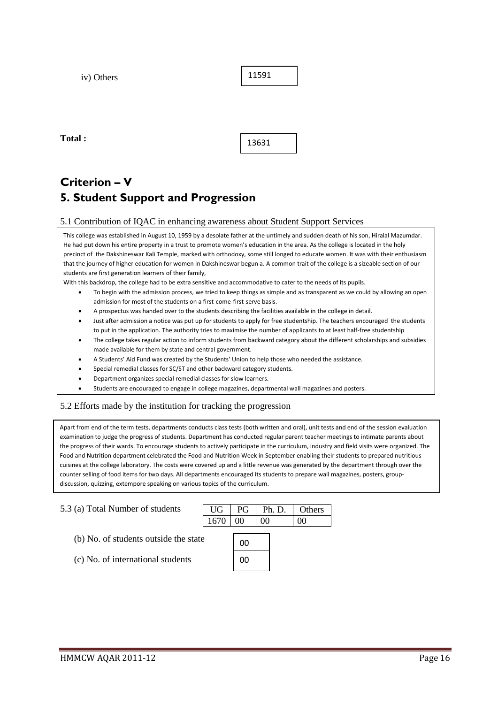iv) Others



**Total :** 

# 13631

# **Criterion – V 5. Student Support and Progression**

#### 5.1 Contribution of IQAC in enhancing awareness about Student Support Services

This college was established in August 10, 1959 by a desolate father at the untimely and sudden death of his son, Hiralal Mazumdar. He had put down his entire property in a trust to promote women's education in the area. As the college is located in the holy precinct of the Dakshineswar Kali Temple, marked with orthodoxy, some still longed to educate women. It was with their enthusiasm that the journey of higher education for women in Dakshineswar begun a. A common trait of the college is a sizeable section of our students are first generation learners of their family,

With this backdrop, the college had to be extra sensitive and accommodative to cater to the needs of its pupils.

- To begin with the admission process, we tried to keep things as simple and as transparent as we could by allowing an open admission for most of the students on a first-come-first-serve basis.
- A prospectus was handed over to the students describing the facilities available in the college in detail.
- Just after admission a notice was put up for students to apply for free studentship. The teachers encouraged the students to put in the application. The authority tries to maximise the number of applicants to at least half-free studentship
- The college takes regular action to inform students from backward category about the different scholarships and subsidies made available for them by state and central government.
- A Students' Aid Fund was created by the Students' Union to help those who needed the assistance.
- Special remedial classes for SC/ST and other backward category students.
- Department organizes special remedial classes for slow learners.
- Students are encouraged to engage in college magazines, departmental wall magazines and posters.

#### 5.2 Efforts made by the institution for tracking the progression

Apart from end of the term tests, departments conducts class tests (both written and oral), unit tests and end of the session evaluation examination to judge the progress of students. Department has conducted regular parent teacher meetings to intimate parents about the progress of their wards. To encourage students to actively participate in the curriculum, industry and field visits were organized. The Food and Nutrition department celebrated the Food and Nutrition Week in September enabling their students to prepared nutritious cuisines at the college laboratory. The costs were covered up and a little revenue was generated by the department through over the counter selling of food items for two days. All departments encouraged its students to prepare wall magazines, posters, groupdiscussion, quizzing, extempore speaking on various topics of the curriculum.

00

| 5.3 (a) Total Number of students      |  | PG | Ph. D. | <b>Others</b> |
|---------------------------------------|--|----|--------|---------------|
|                                       |  |    |        | OO.           |
| (b) No. of students outside the state |  |    |        |               |
|                                       |  |    |        |               |

# (c) No. of international students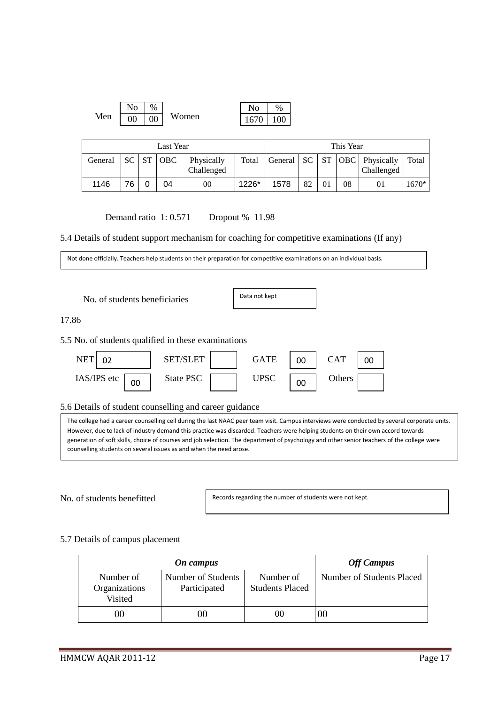|     |    | $\%$ |       | $\rm No$          | %   |
|-----|----|------|-------|-------------------|-----|
| Men | 00 | -00  | Women | 1670 <sub>1</sub> | 100 |

| Last Year |     |  |     | This Year                |       |      |    |    |    |                                                                            |         |
|-----------|-----|--|-----|--------------------------|-------|------|----|----|----|----------------------------------------------------------------------------|---------|
| General   | SC  |  | OBC | Physically<br>Challenged | Total |      |    |    |    | General $\vert$ SC $\vert$ ST $\vert$ OBC $\vert$ Physically<br>Challenged | Total   |
| 1146      | 76. |  | 04  | 00                       | 1226* | 1578 | 82 | 01 | 08 | 01                                                                         | $1670*$ |

Demand ratio 1: 0.571 Dropout % 11.98

5.4 Details of student support mechanism for coaching for competitive examinations (If any)

Not done officially. Teachers help students on their preparation for competitive examinations on an individual basis.

No. of students beneficiaries

Data not kept

17.86

L

5.5 No. of students qualified in these examinations



#### 5.6 Details of student counselling and career guidance

The college had a career counselling cell during the last NAAC peer team visit. Campus interviews were conducted by several corporate units. However, due to lack of industry demand this practice was discarded. Teachers were helping students on their own accord towards generation of soft skills, choice of courses and job selection. The department of psychology and other senior teachers of the college were counselling students on several issues as and when the need arose.

No. of students benefitted

Records regarding the number of students were not kept.

#### 5.7 Details of campus placement

|                                       | <b>Off Campus</b>                  |                                     |                           |
|---------------------------------------|------------------------------------|-------------------------------------|---------------------------|
| Number of<br>Organizations<br>Visited | Number of Students<br>Participated | Number of<br><b>Students Placed</b> | Number of Students Placed |
| 00                                    | 00                                 | OO)                                 | $\omega$                  |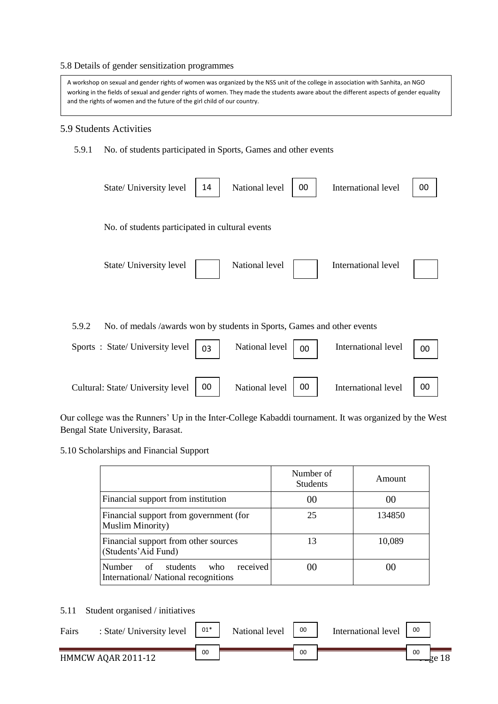5.8 Details of gender sensitization programmes

A workshop on sexual and gender rights of women was organized by the NSS unit of the college in association with Sanhita, an NGO working in the fields of sexual and gender rights of women. They made the students aware about the different aspects of gender equality and the rights of women and the future of the girl child of our country.

#### 5.9 Students Activities

5.9.1 No. of students participated in Sports, Games and other events

| State/ University level           | 14                                                                      | National level | $00\,$ | International level | 00 |
|-----------------------------------|-------------------------------------------------------------------------|----------------|--------|---------------------|----|
|                                   | No. of students participated in cultural events                         |                |        |                     |    |
| State/ University level           |                                                                         | National level |        | International level |    |
|                                   |                                                                         |                |        |                     |    |
| 5.9.2                             | No. of medals /awards won by students in Sports, Games and other events |                |        |                     |    |
| Sports: State/University level    | 03                                                                      | National level | 00     | International level | 00 |
| Cultural: State/ University level | 00                                                                      | National level | 00     | International level | 00 |

Our college was the Runners' Up in the Inter-College Kabaddi tournament. It was organized by the West Bengal State University, Barasat.

5.10 Scholarships and Financial Support

|                                                                                           | Number of<br><b>Students</b> | Amount       |
|-------------------------------------------------------------------------------------------|------------------------------|--------------|
| Financial support from institution                                                        | 00                           | $($ i $()()$ |
| Financial support from government (for<br><b>Muslim Minority</b> )                        | 25                           | 134850       |
| Financial support from other sources<br>(Students' Aid Fund)                              | 13                           | 10,089       |
| received<br><b>Number</b><br>of<br>students<br>who<br>International/National recognitions | 00                           | $\Omega$     |

5.11 Student organised / initiatives

| Fairs | : State/ University level | $01*$ | National level | 00 | International level | 00 |           |
|-------|---------------------------|-------|----------------|----|---------------------|----|-----------|
|       | <b>HMMCW AQAR 2011-12</b> | 00    |                | 00 |                     | 00 | $\geq 18$ |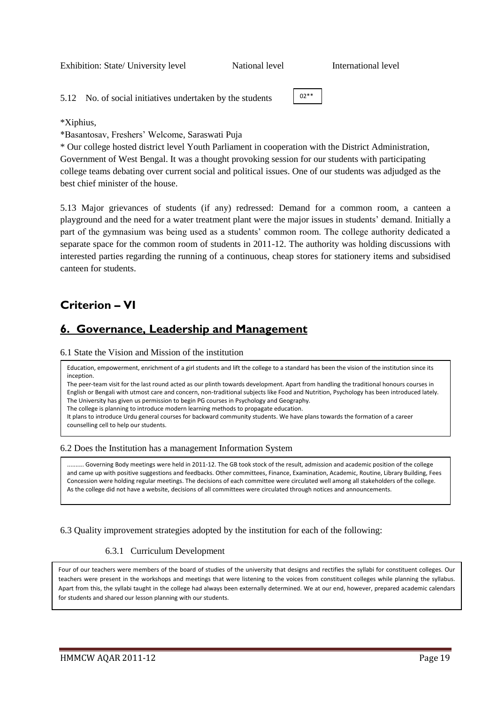Exhibition: State/ University level National level International level

02\*\*

5.12 No. of social initiatives undertaken by the students

\*Xiphius,

\*Basantosav, Freshers' Welcome, Saraswati Puja

\* Our college hosted district level Youth Parliament in cooperation with the District Administration, Government of West Bengal. It was a thought provoking session for our students with participating college teams debating over current social and political issues. One of our students was adjudged as the best chief minister of the house.

5.13 Major grievances of students (if any) redressed: Demand for a common room, a canteen a playground and the need for a water treatment plant were the major issues in students' demand. Initially a part of the gymnasium was being used as a students' common room. The college authority dedicated a separate space for the common room of students in 2011-12. The authority was holding discussions with interested parties regarding the running of a continuous, cheap stores for stationery items and subsidised canteen for students.

# **Criterion – VI**

# **6. Governance, Leadership and Management**

#### 6.1 State the Vision and Mission of the institution

Education, empowerment, enrichment of a girl students and lift the college to a standard has been the vision of the institution since its inception.

The peer-team visit for the last round acted as our plinth towards development. Apart from handling the traditional honours courses in English or Bengali with utmost care and concern, non-traditional subjects like Food and Nutrition, Psychology has been introduced lately.

The University has given us permission to begin PG courses in Psychology and Geography.

The college is planning to introduce modern learning methods to propagate education.

It plans to introduce Urdu general courses for backward community students. We have plans towards the formation of a career counselling cell to help our students.

#### 6.2 Does the Institution has a management Information System

.......... Governing Body meetings were held in 2011-12. The GB took stock of the result, admission and academic position of the college and came up with positive suggestions and feedbacks. Other committees, Finance, Examination, Academic, Routine, Library Building, Fees Concession were holding regular meetings. The decisions of each committee were circulated well among all stakeholders of the college. As the college did not have a website, decisions of all committees were circulated through notices and announcements.

## 6.3 Quality improvement strategies adopted by the institution for each of the following:

## 6.3.1 Curriculum Development

Four of our teachers were members of the board of studies of the university that designs and rectifies the syllabi for constituent colleges. Our teachers were present in the workshops and meetings that were listening to the voices from constituent colleges while planning the syllabus. Apart from this, the syllabi taught in the college had always been externally determined. We at our end, however, prepared academic calendars for students and shared our lesson planning with our students.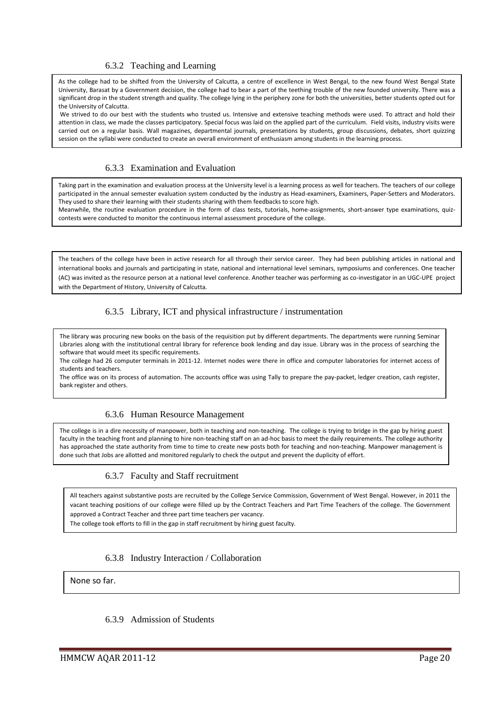#### 6.3.2 Teaching and Learning

As the college had to be shifted from the University of Calcutta, a centre of excellence in West Bengal, to the new found West Bengal State University, Barasat by a Government decision, the college had to bear a part of the teething trouble of the new founded university. There was a significant drop in the student strength and quality. The college lying in the periphery zone for both the universities, better students opted out for the University of Calcutta.

We strived to do our best with the students who trusted us. Intensive and extensive teaching methods were used. To attract and hold their attention in class, we made the classes participatory. Special focus was laid on the applied part of the curriculum. Field visits, industry visits were carried out on a regular basis. Wall magazines, departmental journals, presentations by students, group discussions, debates, short quizzing session on the syllabi were conducted to create an overall environment of enthusiasm among students in the learning process.

#### 6.3.3 Examination and Evaluation

Taking part in the examination and evaluation process at the University level is a learning process as well for teachers. The teachers of our college<br>participated in the annual comester avaluation expterm conducted by the participated in the annual semester evaluation system conducted by the industry as Head-examiners, Examiners, Paper-Setters and Moderators. They used to share their learning with their students sharing with them feedbacks to score high.

Meanwhile, the routine evaluation procedure in the form of class tests, tutorials, home-assignments, short-answer type examinations, quizcontests were conducted to monitor the continuous internal assessment procedure of the college.

The teachers of the college have been in active research for all through their service career. They had been publishing articles in national and international books and journals and participating in state, national and international level seminars, symposiums and conferences. One teacher (AC) was invited as the resource person at a national level conference. Another teacher was performing as co-investigator in an UGC-UPE project with the Department of History, University of Calcutta.

#### 6.3.5 Library, ICT and physical infrastructure / instrumentation

The library was procuring new books on the basis of the requisition put by different departments. The departments were running Seminar Libraries along with the institutional central library for reference book lending and day issue. Library was in the process of searching the software that would meet its specific requirements.

The college had 26 computer terminals in 2011-12. Internet nodes were there in office and computer laboratories for internet access of students and teachers.

The office was on its process of automation. The accounts office was using Tally to prepare the pay-packet, ledger creation, cash register, bank register and others.

#### 6.3.6 Human Resource Management

The college is in a dire necessity of manpower, both in teaching and non-teaching. The college is trying to bridge in the gap by hiring guest faculty in the teaching front and planning to hire non-teaching staff on an ad-hoc basis to meet the daily requirements. The college authority has approached the state authority from time to time to create new posts both for teaching and non-teaching. Manpower management is done such that Jobs are allotted and monitored regularly to check the output and prevent the duplicity of effort.

#### 6.3.7 Faculty and Staff recruitment

All teachers against substantive posts are recruited by the College Service Commission, Government of West Bengal. However, in 2011 the vacant teaching positions of our college were filled up by the Contract Teachers and Part Time Teachers of the college. The Government approved a Contract Teacher and three part time teachers per vacancy.

The college took efforts to fill in the gap in staff recruitment by hiring guest faculty.

#### 6.3.8 Industry Interaction / Collaboration

None so far.

#### 6.3.9 Admission of Students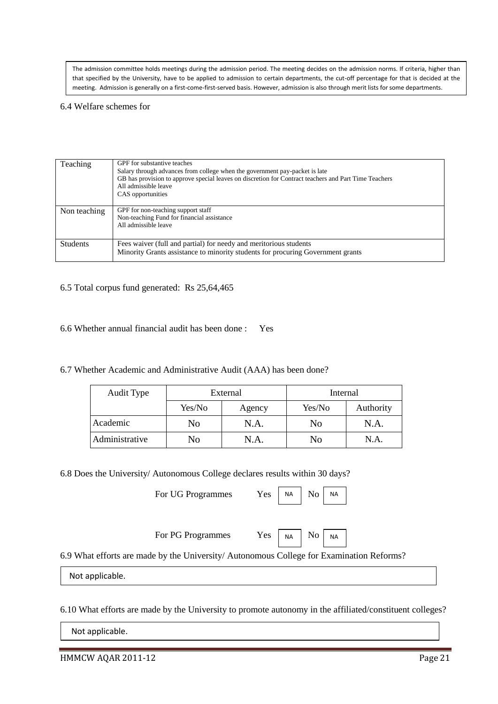The admission committee holds meetings during the admission period. The meeting decides on the admission norms. If criteria, higher than that specified by the University, have to be applied to admission to certain departments, the cut-off percentage for that is decided at the meeting. Admission is generally on a first-come-first-served basis. However, admission is also through merit lists for some departments.

#### 6.4 Welfare schemes for

| Teaching        | GPF for substantive teaches<br>Salary through advances from college when the government pay-packet is late<br>GB has provision to approve special leaves on discretion for Contract teachers and Part Time Teachers<br>All admissible leave<br>CAS opportunities |
|-----------------|------------------------------------------------------------------------------------------------------------------------------------------------------------------------------------------------------------------------------------------------------------------|
| Non teaching    | GPF for non-teaching support staff<br>Non-teaching Fund for financial assistance<br>All admissible leave                                                                                                                                                         |
| <b>Students</b> | Fees waiver (full and partial) for needy and meritorious students<br>Minority Grants assistance to minority students for procuring Government grants                                                                                                             |

#### 6.5 Total corpus fund generated: Rs 25,64,465

#### 6.6 Whether annual financial audit has been done : Yes

#### 6.7 Whether Academic and Administrative Audit (AAA) has been done?

| Audit Type     |        | External | Internal |           |  |
|----------------|--------|----------|----------|-----------|--|
|                | Yes/No | Agency   | Yes/No   | Authority |  |
| Academic       | No     | N.A.     | No       | N.A.      |  |
| Administrative | No     | N.A.     | No       | N.A.      |  |

#### 6.8 Does the University/ Autonomous College declares results within 30 days?

For UG Programmes Yes

| NA | Ν٥<br>I | <b>NA</b> |
|----|---------|-----------|
|----|---------|-----------|

For PG Programmes  $Yes \mid Na$ 



6.9 What efforts are made by the University/ Autonomous College for Examination Reforms?

Not applicable.

6.10 What efforts are made by the University to promote autonomy in the affiliated/constituent colleges?

Not applicable.

HMMCW AQAR 2011-12 Page 21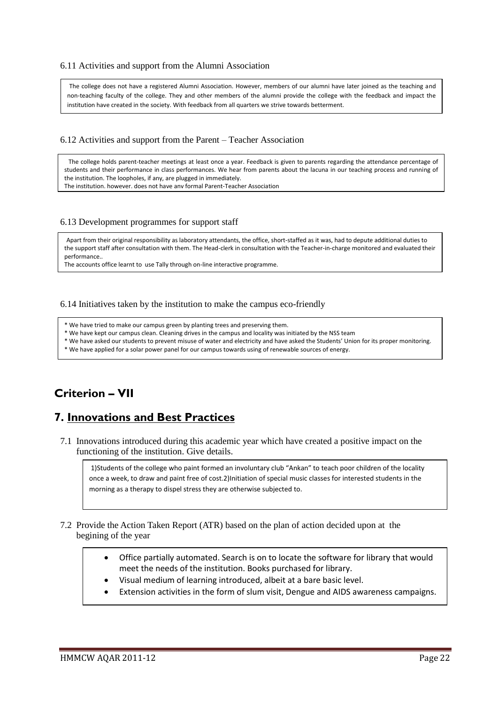#### 6.11 Activities and support from the Alumni Association

The college does not have a registered Alumni Association. However, members of our alumni have later joined as the teaching and non-teaching faculty of the college. They and other members of the alumni provide the college with the feedback and impact the institution have created in the society. With feedback from all quarters we strive towards betterment.

#### 6.12 Activities and support from the Parent – Teacher Association

The college holds parent-teacher meetings at least once a year. Feedback is given to parents regarding the attendance percentage of students and their performance in class performances. We hear from parents about the lacuna in our teaching process and running of the institution. The loopholes, if any, are plugged in immediately.

The institution, however, does not have any formal Parent-Teacher Association

#### 6.13 Development programmes for support staff

Apart from their original responsibility as laboratory attendants, the office, short-staffed as it was, had to depute additional duties to the support staff after consultation with them. The Head-clerk in consultation with the Teacher-in-charge monitored and evaluated their performance..

The accounts office learnt to use Tally through on-line interactive programme.

#### 6.14 Initiatives taken by the institution to make the campus eco-friendly

\* We have tried to make our campus green by planting trees and preserving them.

- \* We have kept our campus clean. Cleaning drives in the campus and locality was initiated by the NSS team
- \* We have asked our students to prevent misuse of water and electricity and have asked the Students' Union for its proper monitoring.
- \* We have applied for a solar power panel for our campus towards using of renewable sources of energy.

# **Criterion – VII**

# **7. Innovations and Best Practices**

7.1 Innovations introduced during this academic year which have created a positive impact on the functioning of the institution. Give details.

1)Students of the college who paint formed an involuntary club "Ankan" to teach poor children of the locality once a week, to draw and paint free of cost.2)Initiation of special music classes for interested students in the morning as a therapy to dispel stress they are otherwise subjected to.

- 7.2 Provide the Action Taken Report (ATR) based on the plan of action decided upon at the begining of the year
	- Office partially automated. Search is on to locate the software for library that would meet the needs of the institution. Books purchased for library.
	- Visual medium of learning introduced, albeit at a bare basic level.
	- Extension activities in the form of slum visit, Dengue and AIDS awareness campaigns.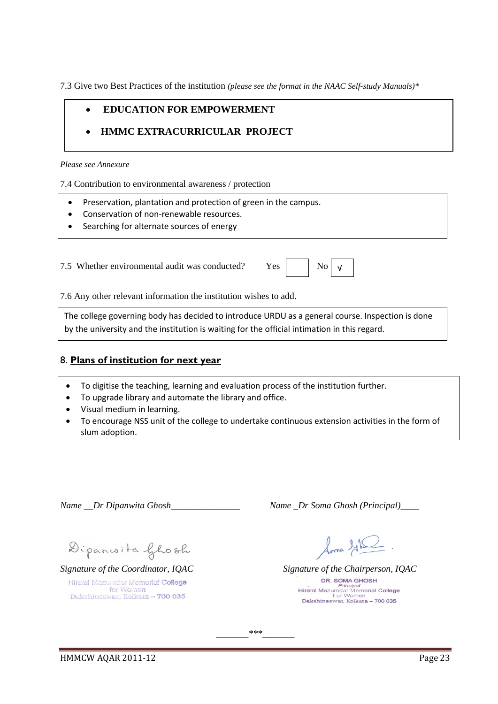7.3 Give two Best Practices of the institution *(please see the format in the NAAC Self-study Manuals)\** 

## **EDUCATION FOR EMPOWERMENT**

# **HMMC EXTRACURRICULAR PROJECT**

#### *Please see Annexure*

7.4 Contribution to environmental awareness / protection

- Preservation, plantation and protection of green in the campus.
- Conservation of non-renewable resources.
- Searching for alternate sources of energy

7.5 Whether environmental audit was conducted? Yes

|  | u C D |  |
|--|-------|--|
|--|-------|--|

7.6 Any other relevant information the institution wishes to add.

The college governing body has decided to introduce URDU as a general course. Inspection is done **rr** by the university and the institution is waiting for the official intimation in this regard. **y,** 

## 8. **Plans of institution for next year**

- \*\* To digitise the teaching, learning and evaluation process of the institution further. **u yo**
- To upgrade library and automate the library and office.
- Visual medium in learning.
- To encourage NSS unit of the college to undertake continuous extension activities in the form of **a**  slum adoption.

*Name \_\_Dr Dipanwita Ghosh \_\_\_\_\_\_\_\_\_\_\_\_\_\_* 

Dipancoita Ghosh

*Signature of the Coordinator, IQAC* Hiralal Mazumdar Memorial College for Women Dakshineswar, Kolkata - 700 035

**as s** 

**u**

**kn**

**a** 

Signature of the Chairperson, IOAC **DR. SOMA GHOSH Prin** or V<br>Par

**ad**

*\_\_\_\_\_\_\_\*\*\*\_\_\_\_\_\_\_*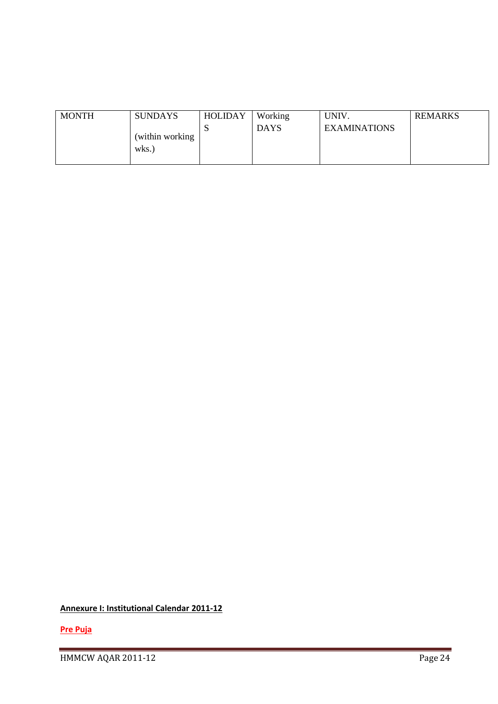| <b>MONTH</b> | <b>SUNDAYS</b>            | HOLIDAY | Working     | UNIV.               | <b>REMARKS</b> |
|--------------|---------------------------|---------|-------------|---------------------|----------------|
|              | (within working)<br>wks.) | ມ       | <b>DAYS</b> | <b>EXAMINATIONS</b> |                |

**Annexure I: Institutional Calendar 2011-12**

**Pre Puja**

HMMCW AQAR 2011-12 Page 24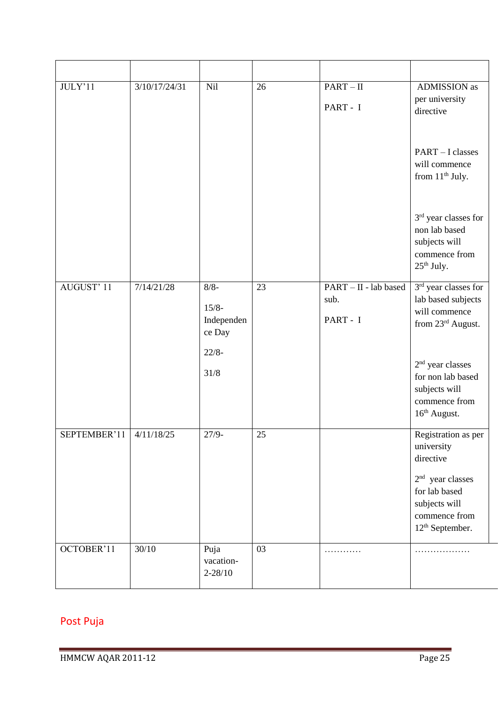| JULY'11                 | 3/10/17/24/31 | <b>Nil</b>                                                    | 26              | $PART-II$<br>PART - I                     | <b>ADMISSION</b> as<br>per university<br>directive                                                                                                                                                              |
|-------------------------|---------------|---------------------------------------------------------------|-----------------|-------------------------------------------|-----------------------------------------------------------------------------------------------------------------------------------------------------------------------------------------------------------------|
|                         |               |                                                               |                 |                                           | PART-I classes<br>will commence<br>from 11 <sup>th</sup> July.                                                                                                                                                  |
|                         |               |                                                               |                 |                                           | 3 <sup>rd</sup> year classes for<br>non lab based<br>subjects will<br>commence from<br>25 <sup>th</sup> July.                                                                                                   |
| <b>AUGUST' 11</b>       | 7/14/21/28    | $8/8 -$<br>$15/8-$<br>Independen<br>ce Day<br>$22/8-$<br>31/8 | $\overline{23}$ | PART - II - lab based<br>sub.<br>PART - I | 3 <sup>rd</sup> year classes for<br>lab based subjects<br>will commence<br>from 23rd August.<br>2 <sup>nd</sup> year classes<br>for non lab based<br>subjects will<br>commence from<br>16 <sup>th</sup> August. |
| SEPTEMBER'11 4/11/18/25 |               | $27/9-$                                                       | 25              |                                           | Registration as per<br>university<br>directive<br>$2nd$ year classes<br>for lab based<br>subjects will<br>commence from<br>$12^{\text{th}}$ September.                                                          |
| OCTOBER'11              | 30/10         | Puja<br>vacation-<br>$2 - 28/10$                              | 03              |                                           |                                                                                                                                                                                                                 |

# Post Puja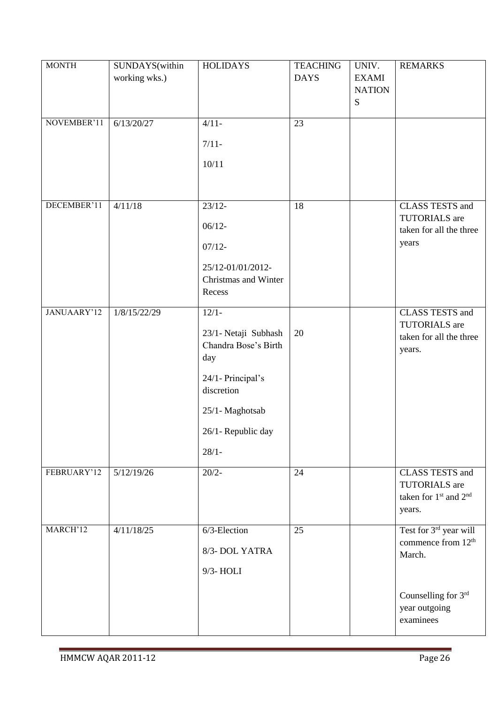| <b>MONTH</b> | SUNDAYS(within<br>working wks.) | <b>HOLIDAYS</b>                                                                                                                                       | <b>TEACHING</b><br><b>DAYS</b> | UNIV.<br><b>EXAMI</b><br><b>NATION</b><br>${\bf S}$ | <b>REMARKS</b>                                                                                                          |
|--------------|---------------------------------|-------------------------------------------------------------------------------------------------------------------------------------------------------|--------------------------------|-----------------------------------------------------|-------------------------------------------------------------------------------------------------------------------------|
| NOVEMBER'11  | 6/13/20/27                      | $4/11-$<br>$7/11-$<br>10/11                                                                                                                           | 23                             |                                                     |                                                                                                                         |
| DECEMBER'11  | 4/11/18                         | $23/12 -$<br>$06/12 -$<br>$07/12 -$<br>25/12-01/01/2012-<br>Christmas and Winter<br>Recess                                                            | 18                             |                                                     | CLASS TESTS and<br><b>TUTORIALS</b> are<br>taken for all the three<br>years                                             |
| JANUAARY'12  | 1/8/15/22/29                    | $12/1-$<br>23/1- Netaji Subhash<br>Chandra Bose's Birth<br>day<br>24/1- Principal's<br>discretion<br>25/1-Maghotsab<br>26/1- Republic day<br>$28/1 -$ | 20                             |                                                     | CLASS TESTS and<br><b>TUTORIALS</b> are<br>taken for all the three<br>years.                                            |
| FEBRUARY'12  | 5/12/19/26                      | $20/2-$                                                                                                                                               | 24                             |                                                     | CLASS TESTS and<br>TUTORIALS are<br>taken for 1 <sup>st</sup> and 2 <sup>nd</sup><br>years.                             |
| MARCH'12     | 4/11/18/25                      | 6/3-Election<br>8/3- DOL YATRA<br>9/3- HOLI                                                                                                           | $\overline{25}$                |                                                     | Test for 3rd year will<br>commence from 12 <sup>th</sup><br>March.<br>Counselling for 3rd<br>year outgoing<br>examinees |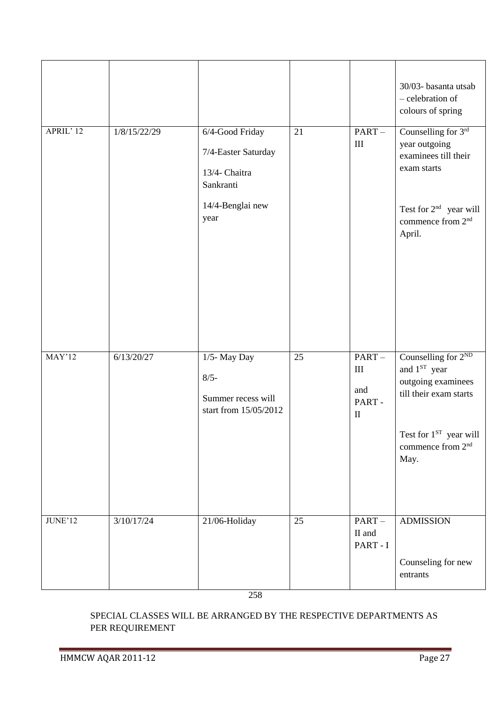|               |              |                                                                                                  |    |                                                       | 30/03- basanta utsab<br>- celebration of<br>colours of spring                                                                                                                              |
|---------------|--------------|--------------------------------------------------------------------------------------------------|----|-------------------------------------------------------|--------------------------------------------------------------------------------------------------------------------------------------------------------------------------------------------|
| APRIL' 12     | 1/8/15/22/29 | 6/4-Good Friday<br>7/4-Easter Saturday<br>13/4- Chaitra<br>Sankranti<br>14/4-Benglai new<br>year | 21 | $PART -$<br>$\rm III$                                 | Counselling for 3rd<br>year outgoing<br>examinees till their<br>exam starts<br>Test for $2nd$ year will<br>commence from 2 <sup>nd</sup><br>April.                                         |
| <b>MAY'12</b> | 6/13/20/27   | $1/5$ - May Day<br>$8/5 -$<br>Summer recess will<br>start from 15/05/2012                        | 25 | $PART -$<br>$\rm III$<br>and<br>PART-<br>$\mathbf{I}$ | Counselling for 2 <sup>ND</sup><br>and 1 <sup>ST</sup> year<br>outgoing examinees<br>till their exam starts<br>Test for 1 <sup>ST</sup> year will<br>commence from 2 <sup>nd</sup><br>May. |
| JUNE'12       | 3/10/17/24   | $21/06$ -Holiday                                                                                 | 25 | $PART-$<br>II and<br>PART-I                           | <b>ADMISSION</b><br>Counseling for new<br>entrants                                                                                                                                         |

# SPECIAL CLASSES WILL BE ARRANGED BY THE RESPECTIVE DEPARTMENTS AS PER REQUIREMENT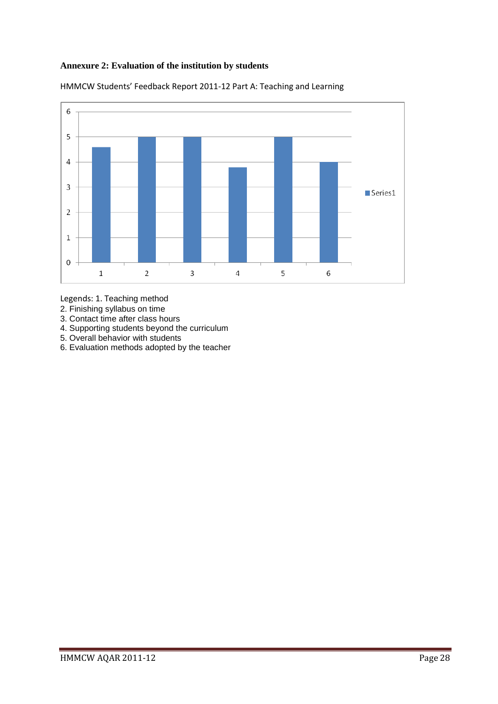### **Annexure 2: Evaluation of the institution by students**



HMMCW Students' Feedback Report 2011-12 Part A: Teaching and Learning

Legends: 1. Teaching method

- 2. Finishing syllabus on time
- 3. Contact time after class hours
- 4. Supporting students beyond the curriculum
- 5. Overall behavior with students
- 6. Evaluation methods adopted by the teacher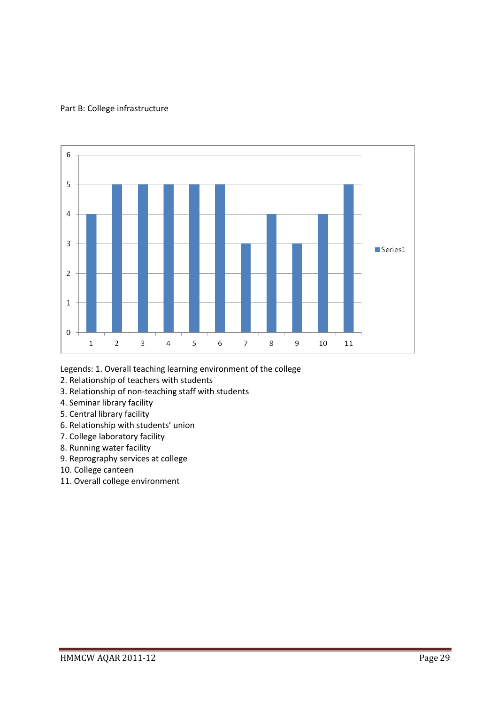### Part B: College infrastructure



Legends: 1. Overall teaching learning environment of the college

- 2. Relationship of teachers with students
- 3. Relationship of non-teaching staff with students
- 4. Seminar library facility
- 5. Central library facility
- 6. Relationship with students' union
- 7. College laboratory facility
- 8. Running water facility
- 9. Reprography services at college
- 10. College canteen
- 11. Overall college environment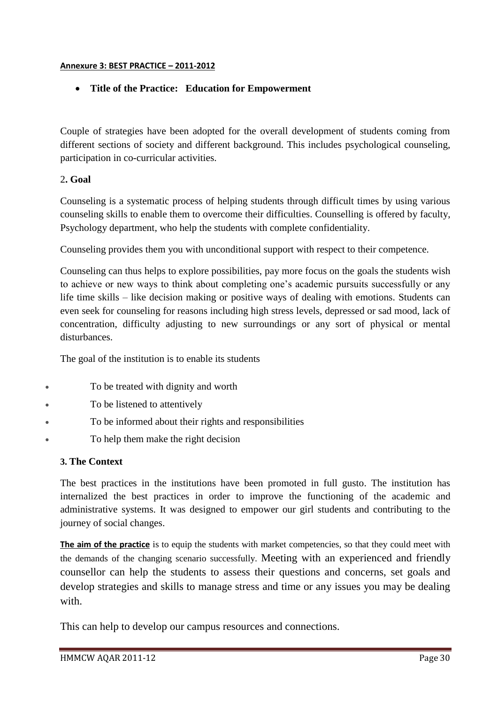## **Annexure 3: BEST PRACTICE – 2011-2012**

# **Title of the Practice: Education for Empowerment**

Couple of strategies have been adopted for the overall development of students coming from different sections of society and different background. This includes psychological counseling, participation in co-curricular activities.

# 2**. Goal**

Counseling is a systematic process of helping students through difficult times by using various counseling skills to enable them to overcome their difficulties. Counselling is offered by faculty, Psychology department, who help the students with complete confidentiality.

Counseling provides them you with unconditional support with respect to their competence.

Counseling can thus helps to explore possibilities, pay more focus on the goals the students wish to achieve or new ways to think about completing one's academic pursuits successfully or any life time skills – like decision making or positive ways of dealing with emotions. Students can even seek for counseling for reasons including high stress levels, depressed or sad mood, lack of concentration, difficulty adjusting to new surroundings or any sort of physical or mental disturbances.

The goal of the institution is to enable its students

- To be treated with dignity and worth
- To be listened to attentively
- To be informed about their rights and responsibilities
- To help them make the right decision

## **3. The Context**

The best practices in the institutions have been promoted in full gusto. The institution has internalized the best practices in order to improve the functioning of the academic and administrative systems. It was designed to empower our girl students and contributing to the journey of social changes.

The aim of the practice is to equip the students with market competencies, so that they could meet with the demands of the changing scenario successfully. Meeting with an experienced and friendly counsellor can help the students to assess their questions and concerns, set goals and develop strategies and skills to manage stress and time or any issues you may be dealing with

This can help to develop our campus resources and connections.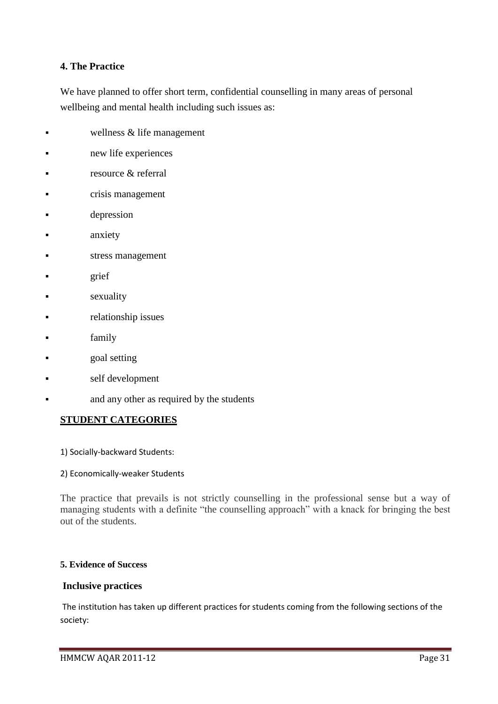## **4. The Practice**

We have planned to offer short term, confidential counselling in many areas of personal wellbeing and mental health including such issues as:

- wellness & life management
- new life experiences
- resource & referral
- crisis management
- depression
- anxiety
- stress management
- grief
- sexuality
- relationship issues
- family
- **goal setting**
- self development
- and any other as required by the students

## **STUDENT CATEGORIES**

1) Socially-backward Students:

## 2) Economically-weaker Students

The practice that prevails is not strictly counselling in the professional sense but a way of managing students with a definite "the counselling approach" with a knack for bringing the best out of the students.

## **5. Evidence of Success**

## **Inclusive practices**

The institution has taken up different practices for students coming from the following sections of the society: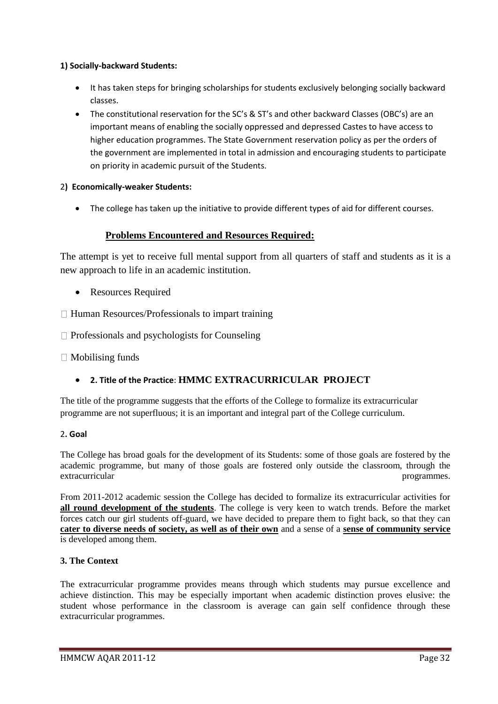## **1) Socially-backward Students:**

- It has taken steps for bringing scholarships for students exclusively belonging socially backward classes.
- The constitutional reservation for the SC's & ST's and other backward Classes (OBC's) are an important means of enabling the socially oppressed and depressed Castes to have access to higher education programmes. The State Government reservation policy as per the orders of the government are implemented in total in admission and encouraging students to participate on priority in academic pursuit of the Students.

### 2**) Economically-weaker Students:**

The college has taken up the initiative to provide different types of aid for different courses.

## **Problems Encountered and Resources Required:**

The attempt is yet to receive full mental support from all quarters of staff and students as it is a new approach to life in an academic institution.

- Resources Required
- $\Box$  Human Resources/Professionals to impart training
- $\Box$  Professionals and psychologists for Counseling
- $\Box$  Mobilising funds

## **2. Title of the Practice**: **HMMC EXTRACURRICULAR PROJECT**

The title of the programme suggests that the efforts of the College to formalize its extracurricular programme are not superfluous; it is an important and integral part of the College curriculum.

#### 2**. Goal**

The College has broad goals for the development of its Students: some of those goals are fostered by the academic programme, but many of those goals are fostered only outside the classroom, through the extracurricular programmes.

From 2011-2012 academic session the College has decided to formalize its extracurricular activities for **all round development of the students**. The college is very keen to watch trends. Before the market forces catch our girl students off-guard, we have decided to prepare them to fight back, so that they can **cater to diverse needs of society, as well as of their own** and a sense of a **sense of community service** is developed among them.

#### **3. The Context**

The extracurricular programme provides means through which students may pursue excellence and achieve distinction. This may be especially important when academic distinction proves elusive: the student whose performance in the classroom is average can gain self confidence through these extracurricular programmes.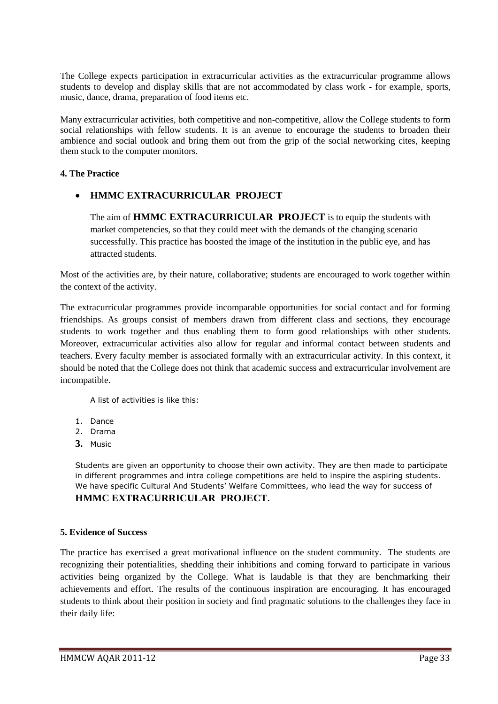The College expects participation in extracurricular activities as the extracurricular programme allows students to develop and display skills that are not accommodated by class work - for example, sports, music, dance, drama, preparation of food items etc.

Many extracurricular activities, both competitive and non-competitive, allow the College students to form social relationships with fellow students. It is an avenue to encourage the students to broaden their ambience and social outlook and bring them out from the grip of the social networking cites, keeping them stuck to the computer monitors.

## **4. The Practice**

# **HMMC EXTRACURRICULAR PROJECT**

The aim of **HMMC EXTRACURRICULAR PROJECT** is to equip the students with market competencies, so that they could meet with the demands of the changing scenario successfully. This practice has boosted the image of the institution in the public eye, and has attracted students.

Most of the activities are, by their nature, collaborative; students are encouraged to work together within the context of the activity.

The extracurricular programmes provide incomparable opportunities for social contact and for forming friendships. As groups consist of members drawn from different class and sections, they encourage students to work together and thus enabling them to form good relationships with other students. Moreover, extracurricular activities also allow for regular and informal contact between students and teachers. Every faculty member is associated formally with an extracurricular activity. In this context, it should be noted that the College does not think that academic success and extracurricular involvement are incompatible.

A list of activities is like this:

- 1. Dance
- 2. Drama
- **3.** Music

Students are given an opportunity to choose their own activity. They are then made to participate in different programmes and intra college competitions are held to inspire the aspiring students. We have specific Cultural And Students' Welfare Committees, who lead the way for success of **HMMC EXTRACURRICULAR PROJECT.**

## **5. Evidence of Success**

The practice has exercised a great motivational influence on the student community. The students are recognizing their potentialities, shedding their inhibitions and coming forward to participate in various activities being organized by the College. What is laudable is that they are benchmarking their achievements and effort. The results of the continuous inspiration are encouraging. It has encouraged students to think about their position in society and find pragmatic solutions to the challenges they face in their daily life: